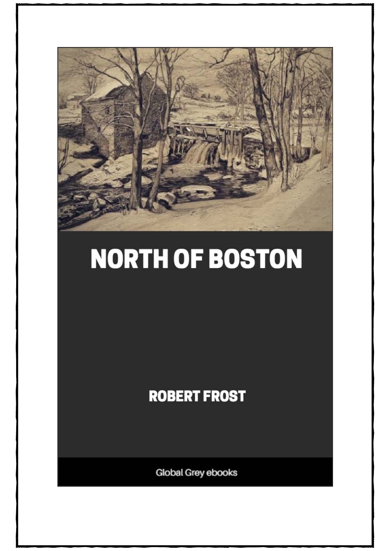

## **NORTH OF BOSTON**

## **ROBERT FROST**

Global Grey ebooks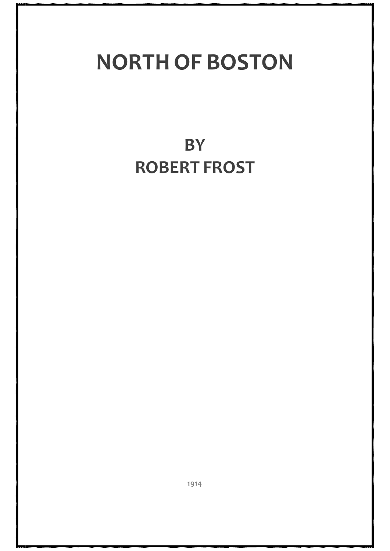## **NORTH OF BOSTON**

**BY ROBERT FROST**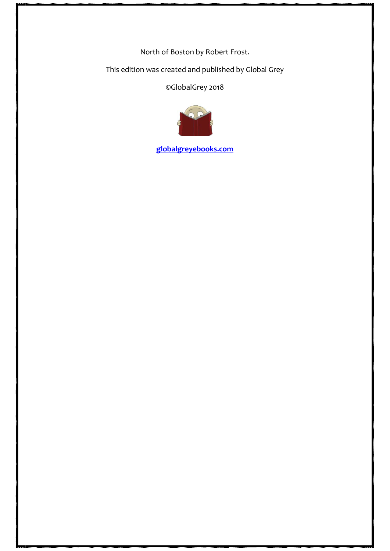North of Boston by Robert Frost.

This edition was created and published by Global Grey

©GlobalGrey 2018



**[globalgreyebooks.com](https://www.globalgreyebooks.com/)**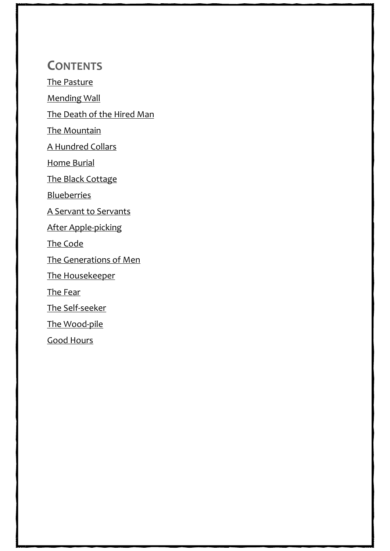## **CONTENTS**

[The Pasture](#page-4-0)

[Mending Wall](#page-5-0)

[The Death of the Hired Man](#page-7-0)

[The Mountain](#page-14-0)

[A Hundred Collars](#page-19-0)

[Home Burial](#page-26-0)

[The Black Cottage](#page-31-0)

**[Blueberries](#page-35-0)** 

[A Servant to Servants](#page-39-0)

[After Apple-picking](#page-45-0)

[The Code](#page-47-0)

[The Generations of Men](#page-51-0)

[The Housekeeper](#page-60-0)

[The Fear](#page-69-0)

[The Self-seeker](#page-74-0)

[The Wood-pile](#page-83-0)

[Good Hours](#page-85-0)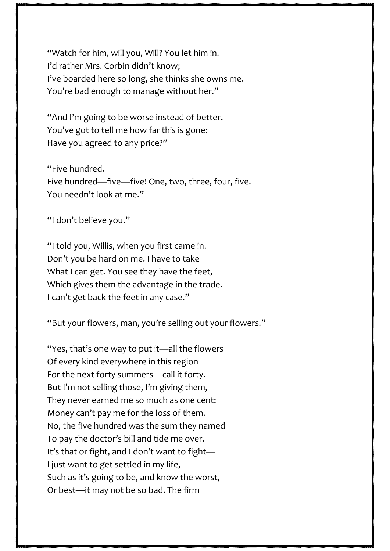"Watch for him, will you, Will? You let him in. I'd rather Mrs. Corbin didn't know; I've boarded here so long, she thinks she owns me. You're bad enough to manage without her."

"And I'm going to be worse instead of better. You've got to tell me how far this is gone: Have you agreed to any price?"

"Five hundred. Five hundred—five—five! One, two, three, four, five. You needn't look at me."

"I don't believe you."

"I told you, Willis, when you first came in. Don't you be hard on me. I have to take What I can get. You see they have the feet, Which gives them the advantage in the trade. I can't get back the feet in any case."

"But your flowers, man, you're selling out your flowers."

"Yes, that's one way to put it—all the flowers Of every kind everywhere in this region For the next forty summers—call it forty. But I'm not selling those, I'm giving them, They never earned me so much as one cent: Money can't pay me for the loss of them. No, the five hundred was the sum they named To pay the doctor's bill and tide me over. It's that or fight, and I don't want to fight— I just want to get settled in my life, Such as it's going to be, and know the worst, Or best—it may not be so bad. The firm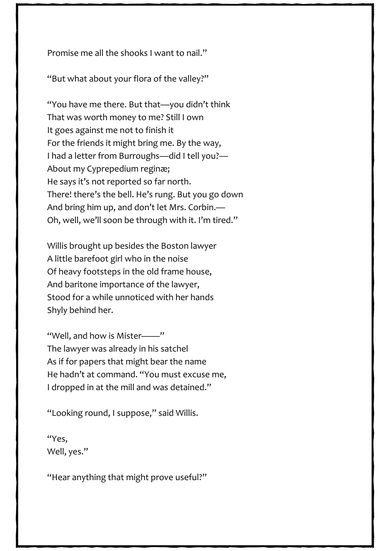Promise me all the shooks I want to nail."

"But what about your flora of the valley?"

"You have me there. But that—you didn't think That was worth money to me? Still I own It goes against me not to finish it For the friends it might bring me. By the way, I had a letter from Burroughs—did I tell you?— About my Cyprepedium reginæ; He says it's not reported so far north. There! there's the bell. He's rung. But you go down And bring him up, and don't let Mrs. Corbin.— Oh, well, we'll soon be through with it. I'm tired."

Willis brought up besides the Boston lawyer A little barefoot girl who in the noise Of heavy footsteps in the old frame house, And baritone importance of the lawyer, Stood for a while unnoticed with her hands Shyly behind her.

"Well, and how is Mister——" The lawyer was already in his satchel As if for papers that might bear the name He hadn't at command. "You must excuse me, I dropped in at the mill and was detained."

"Looking round, I suppose," said Willis.

"Yes, Well, yes."

"Hear anything that might prove useful?"

74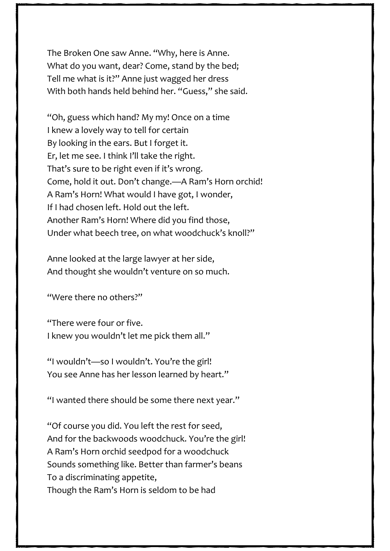The Broken One saw Anne. "Why, here is Anne. What do you want, dear? Come, stand by the bed; Tell me what is it?" Anne just wagged her dress With both hands held behind her. "Guess," she said.

"Oh, guess which hand? My my! Once on a time I knew a lovely way to tell for certain By looking in the ears. But I forget it. Er, let me see. I think I'll take the right. That's sure to be right even if it's wrong. Come, hold it out. Don't change.—A Ram's Horn orchid! A Ram's Horn! What would I have got, I wonder, If I had chosen left. Hold out the left. Another Ram's Horn! Where did you find those, Under what beech tree, on what woodchuck's knoll?"

Anne looked at the large lawyer at her side, And thought she wouldn't venture on so much.

"Were there no others?"

"There were four or five. I knew you wouldn't let me pick them all."

"I wouldn't—so I wouldn't. You're the girl! You see Anne has her lesson learned by heart."

"I wanted there should be some there next year."

"Of course you did. You left the rest for seed, And for the backwoods woodchuck. You're the girl! A Ram's Horn orchid seedpod for a woodchuck Sounds something like. Better than farmer's beans To a discriminating appetite, Though the Ram's Horn is seldom to be had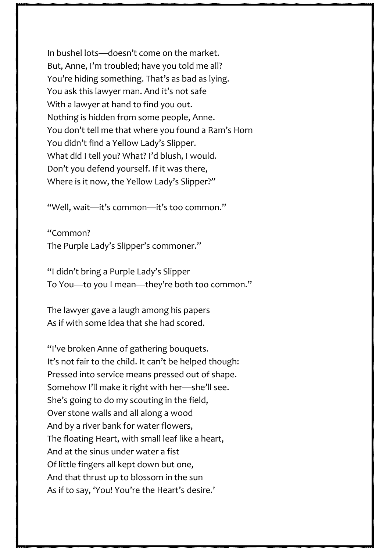In bushel lots—doesn't come on the market. But, Anne, I'm troubled; have you told me all? You're hiding something. That's as bad as lying. You ask this lawyer man. And it's not safe With a lawyer at hand to find you out. Nothing is hidden from some people, Anne. You don't tell me that where you found a Ram's Horn You didn't find a Yellow Lady's Slipper. What did I tell you? What? I'd blush, I would. Don't you defend yourself. If it was there, Where is it now, the Yellow Lady's Slipper?"

"Well, wait—it's common—it's too common."

"Common? The Purple Lady's Slipper's commoner."

"I didn't bring a Purple Lady's Slipper To You—to you I mean—they're both too common."

The lawyer gave a laugh among his papers As if with some idea that she had scored.

"I've broken Anne of gathering bouquets. It's not fair to the child. It can't be helped though: Pressed into service means pressed out of shape. Somehow I'll make it right with her—she'll see. She's going to do my scouting in the field, Over stone walls and all along a wood And by a river bank for water flowers, The floating Heart, with small leaf like a heart, And at the sinus under water a fist Of little fingers all kept down but one, And that thrust up to blossom in the sun As if to say, 'You! You're the Heart's desire.'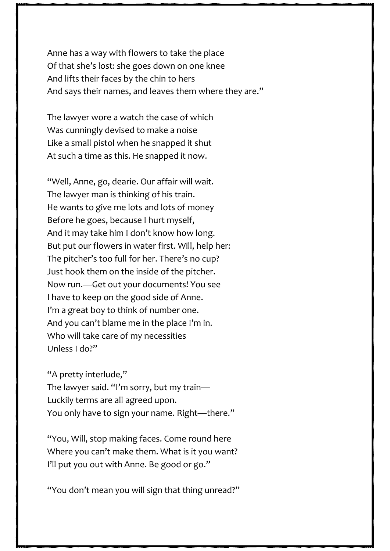Anne has a way with flowers to take the place Of that she's lost: she goes down on one knee And lifts their faces by the chin to hers And says their names, and leaves them where they are."

The lawyer wore a watch the case of which Was cunningly devised to make a noise Like a small pistol when he snapped it shut At such a time as this. He snapped it now.

"Well, Anne, go, dearie. Our affair will wait. The lawyer man is thinking of his train. He wants to give me lots and lots of money Before he goes, because I hurt myself, And it may take him I don't know how long. But put our flowers in water first. Will, help her: The pitcher's too full for her. There's no cup? Just hook them on the inside of the pitcher. Now run.—Get out your documents! You see I have to keep on the good side of Anne. I'm a great boy to think of number one. And you can't blame me in the place I'm in. Who will take care of my necessities Unless I do?"

"A pretty interlude," The lawyer said. "I'm sorry, but my train— Luckily terms are all agreed upon. You only have to sign your name. Right—there."

"You, Will, stop making faces. Come round here Where you can't make them. What is it you want? I'll put you out with Anne. Be good or go."

"You don't mean you will sign that thing unread?"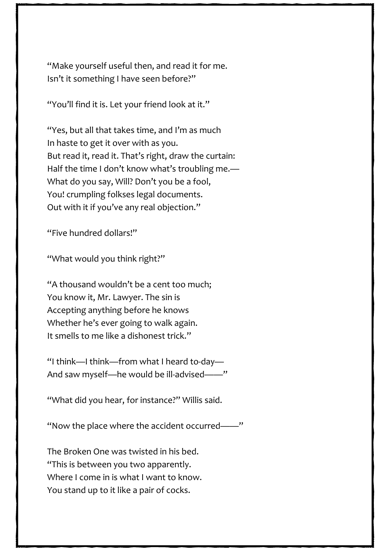"Make yourself useful then, and read it for me. Isn't it something I have seen before?"

"You'll find it is. Let your friend look at it."

"Yes, but all that takes time, and I'm as much In haste to get it over with as you. But read it, read it. That's right, draw the curtain: Half the time I don't know what's troubling me.— What do you say, Will? Don't you be a fool, You! crumpling folkses legal documents. Out with it if you've any real objection."

"Five hundred dollars!"

"What would you think right?"

"A thousand wouldn't be a cent too much; You know it, Mr. Lawyer. The sin is Accepting anything before he knows Whether he's ever going to walk again. It smells to me like a dishonest trick."

"I think—I think—from what I heard to-day— And saw myself—he would be ill-advised——"

"What did you hear, for instance?" Willis said.

"Now the place where the accident occurred——"

The Broken One was twisted in his bed. "This is between you two apparently. Where I come in is what I want to know. You stand up to it like a pair of cocks.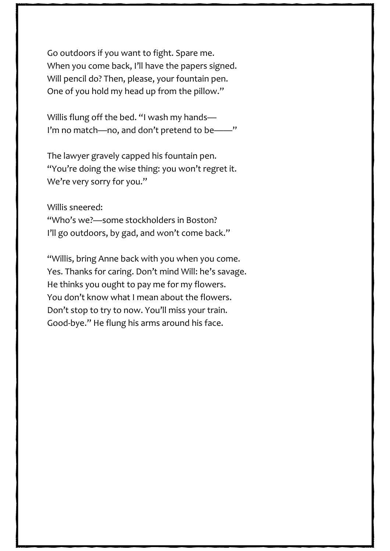Go outdoors if you want to fight. Spare me. When you come back, I'll have the papers signed. Will pencil do? Then, please, your fountain pen. One of you hold my head up from the pillow."

Willis flung off the bed. "I wash my hands— I'm no match-no, and don't pretend to be-

The lawyer gravely capped his fountain pen. "You're doing the wise thing: you won't regret it. We're very sorry for you."

Willis sneered:

"Who's we?—some stockholders in Boston? I'll go outdoors, by gad, and won't come back."

"Willis, bring Anne back with you when you come. Yes. Thanks for caring. Don't mind Will: he's savage. He thinks you ought to pay me for my flowers. You don't know what I mean about the flowers. Don't stop to try to now. You'll miss your train. Good-bye." He flung his arms around his face.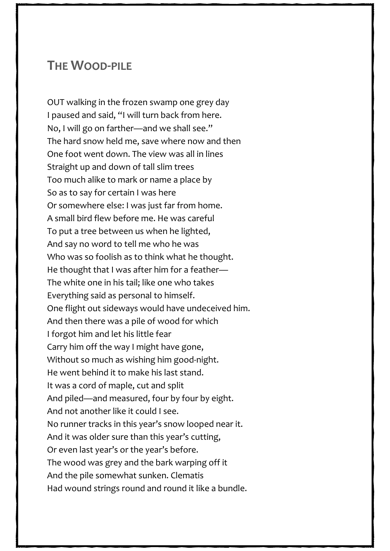## **THE WOOD-PILE**

OUT walking in the frozen swamp one grey day I paused and said, "I will turn back from here. No, I will go on farther—and we shall see." The hard snow held me, save where now and then One foot went down. The view was all in lines Straight up and down of tall slim trees Too much alike to mark or name a place by So as to say for certain I was here Or somewhere else: I was just far from home. A small bird flew before me. He was careful To put a tree between us when he lighted, And say no word to tell me who he was Who was so foolish as to think what he thought. He thought that I was after him for a feather— The white one in his tail; like one who takes Everything said as personal to himself. One flight out sideways would have undeceived him. And then there was a pile of wood for which I forgot him and let his little fear Carry him off the way I might have gone, Without so much as wishing him good-night. He went behind it to make his last stand. It was a cord of maple, cut and split And piled—and measured, four by four by eight. And not another like it could I see. No runner tracks in this year's snow looped near it. And it was older sure than this year's cutting, Or even last year's or the year's before. The wood was grey and the bark warping off it And the pile somewhat sunken. Clematis Had wound strings round and round it like a bundle.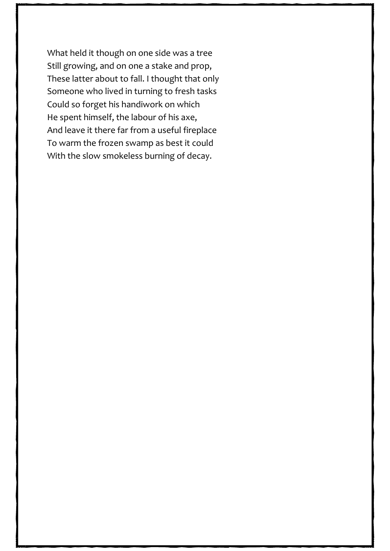What held it though on one side was a tree Still growing, and on one a stake and prop, These latter about to fall. I thought that only Someone who lived in turning to fresh tasks Could so forget his handiwork on which He spent himself, the labour of his axe, And leave it there far from a useful fireplace To warm the frozen swamp as best it could With the slow smokeless burning of decay.